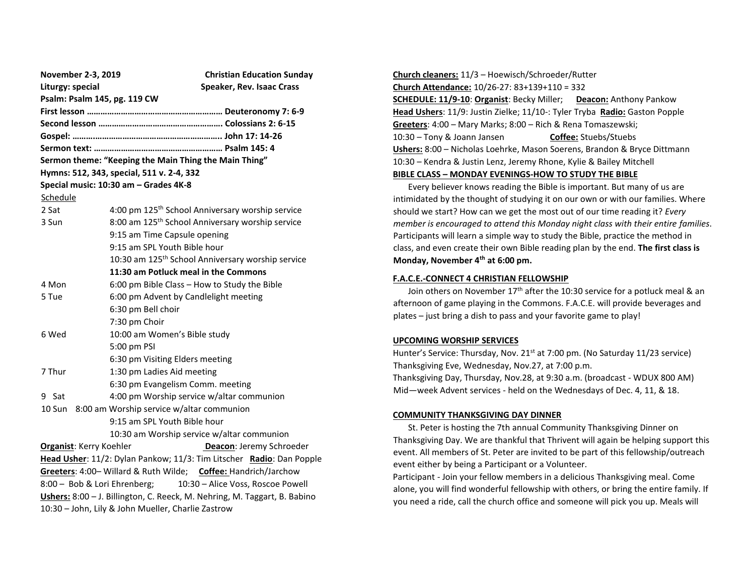| November 2-3, 2019                                                        |                                              | <b>Christian Education Sunday</b>                                    |  |  |
|---------------------------------------------------------------------------|----------------------------------------------|----------------------------------------------------------------------|--|--|
| Liturgy: special                                                          |                                              | Speaker, Rev. Isaac Crass                                            |  |  |
| Psalm: Psalm 145, pg. 119 CW                                              |                                              |                                                                      |  |  |
|                                                                           |                                              |                                                                      |  |  |
|                                                                           |                                              |                                                                      |  |  |
|                                                                           |                                              |                                                                      |  |  |
|                                                                           |                                              |                                                                      |  |  |
| Sermon theme: "Keeping the Main Thing the Main Thing"                     |                                              |                                                                      |  |  |
| Hymns: 512, 343, special, 511 v. 2-4, 332                                 |                                              |                                                                      |  |  |
| Special music: 10:30 am - Grades 4K-8                                     |                                              |                                                                      |  |  |
| Schedule                                                                  |                                              |                                                                      |  |  |
| 2 Sat                                                                     |                                              | 4:00 pm 125 <sup>th</sup> School Anniversary worship service         |  |  |
| 3 Sun                                                                     |                                              | 8:00 am 125 <sup>th</sup> School Anniversary worship service         |  |  |
|                                                                           | 9:15 am Time Capsule opening                 |                                                                      |  |  |
|                                                                           | 9:15 am SPL Youth Bible hour                 |                                                                      |  |  |
|                                                                           |                                              | 10:30 am 125 <sup>th</sup> School Anniversary worship service        |  |  |
| 11:30 am Potluck meal in the Commons                                      |                                              |                                                                      |  |  |
| 4 Mon                                                                     | 6:00 pm Bible Class - How to Study the Bible |                                                                      |  |  |
| 5 Tue                                                                     | 6:00 pm Advent by Candlelight meeting        |                                                                      |  |  |
|                                                                           | 6:30 pm Bell choir                           |                                                                      |  |  |
|                                                                           | 7:30 pm Choir                                |                                                                      |  |  |
| 6 Wed                                                                     | 10:00 am Women's Bible study                 |                                                                      |  |  |
|                                                                           | 5:00 pm PSI                                  |                                                                      |  |  |
|                                                                           | 6:30 pm Visiting Elders meeting              |                                                                      |  |  |
| 7 Thur                                                                    | 1:30 pm Ladies Aid meeting                   |                                                                      |  |  |
|                                                                           | 6:30 pm Evangelism Comm. meeting             |                                                                      |  |  |
| 9 Sat                                                                     | 4:00 pm Worship service w/altar communion    |                                                                      |  |  |
| 8:00 am Worship service w/altar communion<br>10 Sun                       |                                              |                                                                      |  |  |
|                                                                           | 9:15 am SPL Youth Bible hour                 |                                                                      |  |  |
|                                                                           | 10:30 am Worship service w/altar communion   |                                                                      |  |  |
| <b>Organist: Kerry Koehler</b>                                            |                                              | Deacon: Jeremy Schroeder                                             |  |  |
|                                                                           |                                              | Head Usher: 11/2: Dylan Pankow; 11/3: Tim Litscher Radio: Dan Popple |  |  |
| Greeters: 4:00- Willard & Ruth Wilde; Coffee: Handrich/Jarchow            |                                              |                                                                      |  |  |
| 10:30 - Alice Voss, Roscoe Powell<br>8:00 - Bob & Lori Ehrenberg;         |                                              |                                                                      |  |  |
| Ushers: 8:00 - J. Billington, C. Reeck, M. Nehring, M. Taggart, B. Babino |                                              |                                                                      |  |  |
| 10:30 - John, Lily & John Mueller, Charlie Zastrow                        |                                              |                                                                      |  |  |

**Church cleaners:** 11/3 – Hoewisch/Schroeder/Rutter **Church Attendance:** 10/26-27: 83+139+110 = 332 **SCHEDULE: 11/9-10**: **Organist**: Becky Miller; **Deacon:** Anthony Pankow **Head Ushers**: 11/9: Justin Zielke; 11/10-: Tyler Tryba **Radio:** Gaston Popple **Greeters**: 4:00 – Mary Marks; 8:00 – Rich & Rena Tomaszewski; 10:30 – Tony & Joann Jansen **Coffee:** Stuebs/Stuebs **Ushers:** 8:00 – Nicholas Loehrke, Mason Soerens, Brandon & Bryce Dittmann 10:30 – Kendra & Justin Lenz, Jeremy Rhone, Kylie & Bailey Mitchell **BIBLE CLASS – MONDAY EVENINGS-HOW TO STUDY THE BIBLE**

 Every believer knows reading the Bible is important. But many of us are intimidated by the thought of studying it on our own or with our families. Where should we start? How can we get the most out of our time reading it? *Every member is encouraged to attend this Monday night class with their entire families*. Participants will learn a simple way to study the Bible, practice the method in class, and even create their own Bible reading plan by the end. **The first class is Monday, November 4th at 6:00 pm.** 

#### **F.A.C.E.-CONNECT 4 CHRISTIAN FELLOWSHIP**

Join others on November 17<sup>th</sup> after the 10:30 service for a potluck meal & an afternoon of game playing in the Commons. F.A.C.E. will provide beverages and plates – just bring a dish to pass and your favorite game to play!

#### **UPCOMING WORSHIP SERVICES**

Hunter's Service: Thursday, Nov. 21<sup>st</sup> at 7:00 pm. (No Saturday 11/23 service) Thanksgiving Eve, Wednesday, Nov.27, at 7:00 p.m. Thanksgiving Day, Thursday, Nov.28, at 9:30 a.m. (broadcast - WDUX 800 AM) Mid—week Advent services - held on the Wednesdays of Dec. 4, 11, & 18.

### **COMMUNITY THANKSGIVING DAY DINNER**

 St. Peter is hosting the 7th annual Community Thanksgiving Dinner on Thanksgiving Day. We are thankful that Thrivent will again be helping support this event. All members of St. Peter are invited to be part of this fellowship/outreach event either by being a Participant or a Volunteer.

Participant - Join your fellow members in a delicious Thanksgiving meal. Come alone, you will find wonderful fellowship with others, or bring the entire family. If you need a ride, call the church office and someone will pick you up. Meals will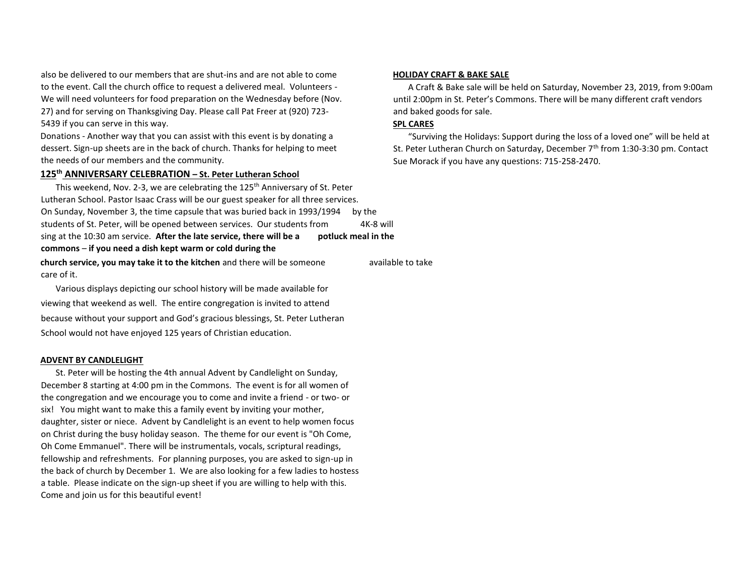also be delivered to our members that are shut-ins and are not able to come to the event. Call the church office to request a delivered meal. Volunteers - We will need volunteers for food preparation on the Wednesday before (Nov. 27) and for serving on Thanksgiving Day. Please call Pat Freer at (920) 723- 5439 if you can serve in this way.

Donations - Another way that you can assist with this event is by donating a dessert. Sign-up sheets are in the back of church. Thanks for helping to meet the needs of our members and the community.

### **125th ANNIVERSARY CELEBRATION – St. Peter Lutheran School**

This weekend, Nov. 2-3, we are celebrating the 125<sup>th</sup> Anniversary of St. Peter Lutheran School. Pastor Isaac Crass will be our guest speaker for all three services. On Sunday, November 3, the time capsule that was buried back in 1993/1994 by the students of St. Peter, will be opened between services. Our students from 4K-8 will sing at the 10:30 am service. **After the late service, there will be a potluck meal in the commons** – **if you need a dish kept warm or cold during the church service, you may take it to the kitchen** and there will be someone a available to take care of it.

 Various displays depicting our school history will be made available for viewing that weekend as well. The entire congregation is invited to attend because without your support and God's gracious blessings, St. Peter Lutheran School would not have enjoyed 125 years of Christian education.

#### **ADVENT BY CANDLELIGHT**

 St. Peter will be hosting the 4th annual Advent by Candlelight on Sunday, December 8 starting at 4:00 pm in the Commons. The event is for all women of the congregation and we encourage you to come and invite a friend - or two- or six! You might want to make this a family event by inviting your mother, daughter, sister or niece. Advent by Candlelight is an event to help women focus on Christ during the busy holiday season. The theme for our event is "Oh Come, Oh Come Emmanuel". There will be instrumentals, vocals, scriptural readings, fellowship and refreshments. For planning purposes, you are asked to sign-up in the back of church by December 1. We are also looking for a few ladies to hostess a table. Please indicate on the sign-up sheet if you are willing to help with this. Come and join us for this beautiful event!

# **HOLIDAY CRAFT & BAKE SALE**

 A Craft & Bake sale will be held on Saturday, November 23, 2019, from 9:00am until 2:00pm in St. Peter's Commons. There will be many different craft vendors and baked goods for sale.

# **SPL CARES**

 "Surviving the Holidays: Support during the loss of a loved one" will be held at St. Peter Lutheran Church on Saturday, December 7<sup>th</sup> from 1:30-3:30 pm. Contact Sue Morack if you have any questions: 715-258-2470.